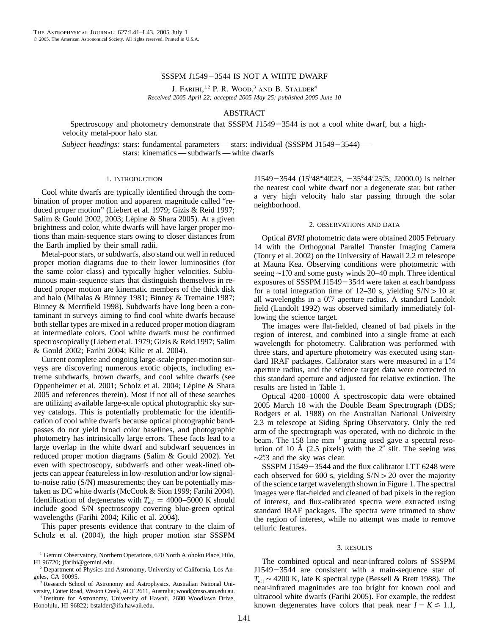# SSSPM J1549-3544 IS NOT A WHITE DWARF

J. FARIHI,<sup>1,2</sup> P. R. WOOD,<sup>3</sup> AND B. STALDER<sup>4</sup> *Received 2005 April 22; accepted 2005 May 25; published 2005 June 10*

# ABSTRACT

Spectroscopy and photometry demonstrate that SSSPM J1549 $-3544$  is not a cool white dwarf, but a highvelocity metal-poor halo star.

*Subject headings:* stars: fundamental parameters — stars: individual (SSSPM J1549-3544) stars: kinematics — subdwarfs — white dwarfs

#### 1. INTRODUCTION

Cool white dwarfs are typically identified through the combination of proper motion and apparent magnitude called "reduced proper motion" (Liebert et al. 1979; Gizis & Reid 1997; Salim & Gould 2002, 2003; Lépine & Shara 2005). At a given brightness and color, white dwarfs will have larger proper motions than main-sequence stars owing to closer distances from the Earth implied by their small radii.

Metal-poor stars, or subdwarfs, also stand out well in reduced proper motion diagrams due to their lower luminosities (for the same color class) and typically higher velocities. Subluminous main-sequence stars that distinguish themselves in reduced proper motion are kinematic members of the thick disk and halo (Mihalas & Binney 1981; Binney & Tremaine 1987; Binney & Merrifield 1998). Subdwarfs have long been a contaminant in surveys aiming to find cool white dwarfs because both stellar types are mixed in a reduced proper motion diagram at intermediate colors. Cool white dwarfs must be confirmed spectroscopically (Liebert et al. 1979; Gizis & Reid 1997; Salim & Gould 2002; Farihi 2004; Kilic et al. 2004).

Current complete and ongoing large-scale proper-motion surveys are discovering numerous exotic objects, including extreme subdwarfs, brown dwarfs, and cool white dwarfs (see Oppenheimer et al. 2001; Scholz et al. 2004; Lépine & Shara 2005 and references therein). Most if not all of these searches are utilizing available large-scale optical photographic sky survey catalogs. This is potentially problematic for the identification of cool white dwarfs because optical photographic bandpasses do not yield broad color baselines, and photographic photometry has intrinsically large errors. These facts lead to a large overlap in the white dwarf and subdwarf sequences in reduced proper motion diagrams (Salim & Gould 2002). Yet even with spectroscopy, subdwarfs and other weak-lined objects can appear featureless in low-resolution and/or low signalto-noise ratio (S/N) measurements; they can be potentially mistaken as DC white dwarfs (McCook & Sion 1999; Farihi 2004). Identification of degenerates with  $T_{\text{eff}} = 4000-5000 \text{ K}$  should include good S/N spectroscopy covering blue-green optical wavelengths (Farihi 2004; Kilic et al. 2004).

This paper presents evidence that contrary to the claim of Scholz et al. (2004), the high proper motion star SSSPM

<sup>3</sup> Research School of Astronomy and Astrophysics, Australian National University, Cotter Road, Weston Creek, ACT 2611, Australia; wood@mso.anu.edu.au.

<sup>4</sup> Institute for Astronomy, University of Hawaii, 2680 Woodlawn Drive, Honolulu, HI 96822; bstalder@ifa.hawaii.edu.

 $J1549 - 3544 (15<sup>h</sup>48<sup>m</sup>40<sup>s</sup>23, -35<sup>o</sup>44'25<sup>m</sup>5; J2000.0)$  is neither the nearest cool white dwarf nor a degenerate star, but rather a very high velocity halo star passing through the solar neighborhood.

# 2. OBSERVATIONS AND DATA

Optical *BVRI* photometric data were obtained 2005 February 14 with the Orthogonal Parallel Transfer Imaging Camera (Tonry et al. 2002) on the University of Hawaii 2.2 m telescope at Mauna Kea. Observing conditions were photometric with seeing ∼1".0 and some gusty winds 20–40 mph. Three identical exposures of SSSPM J1549 $-$ 3544 were taken at each bandpass for a total integration time of 12–30 s, yielding  $S/N > 10$  at all wavelengths in a 0".7 aperture radius. A standard Landolt field (Landolt 1992) was observed similarly immediately following the science target.

The images were flat-fielded, cleaned of bad pixels in the region of interest, and combined into a single frame at each wavelength for photometry. Calibration was performed with three stars, and aperture photometry was executed using standard IRAF packages. Calibrator stars were measured in a 1".4 aperture radius, and the science target data were corrected to this standard aperture and adjusted for relative extinction. The results are listed in Table 1.

Optical 4200–10000 Å spectroscopic data were obtained 2005 March 18 with the Double Beam Spectrograph (DBS; Rodgers et al. 1988) on the Australian National University 2.3 m telescope at Siding Spring Observatory. Only the red arm of the spectrograph was operated, with no dichroic in the beam. The  $158$  line mm<sup>-1</sup> grating used gave a spectral resolution of 10 Å  $(2.5 \text{ pixels})$  with the 2" slit. The seeing was  $\sim$ 2".3 and the sky was clear.

SSSPM J1549-3544 and the flux calibrator LTT 6248 were each observed for 600 s, yielding  $S/N > 20$  over the majority of the science target wavelength shown in Figure 1. The spectral images were flat-fielded and cleaned of bad pixels in the region of interest, and flux-calibrated spectra were extracted using standard IRAF packages. The spectra were trimmed to show the region of interest, while no attempt was made to remove telluric features.

#### 3. RESULTS

The combined optical and near-infrared colors of SSSPM  $J1549 - 3544$  are consistent with a main-sequence star of *T*eff ∼ 4200 K, late K spectral type (Bessell & Brett 1988). The near-infrared magnitudes are too bright for known cool and ultracool white dwarfs (Farihi 2005). For example, the reddest known degenerates have colors that peak near  $I - K \leq 1.1$ ,

<sup>&</sup>lt;sup>1</sup> Gemini Observatory, Northern Operations, 670 North A'ohoku Place, Hilo, HI 96720; jfarihi@gemini.edu.

<sup>2</sup> Department of Physics and Astronomy, University of California, Los Angeles, CA 90095.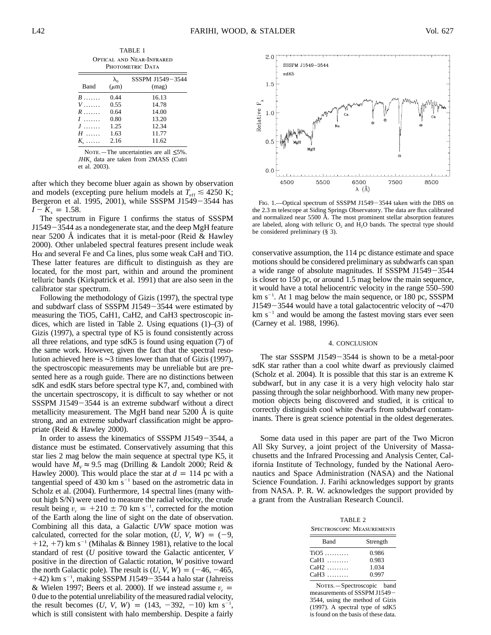|                                                      |                            | TABLE 1                   |  |
|------------------------------------------------------|----------------------------|---------------------------|--|
| <b>OPTICAL AND NEAR-INFRARED</b><br>PHOTOMETRIC DATA |                            |                           |  |
| Band                                                 | $\lambda_{0}$<br>$(\mu m)$ | SSSPM J1549-3544<br>(mag) |  |

| Band                          | $(\mu m)$ | (mag) |
|-------------------------------|-----------|-------|
| $B$                           | 0.44      | 16.13 |
| <i>V</i>                      | 0.55      | 14.78 |
| $R$                           | 0.64      | 14.00 |
| 1                             | 0.80      | 13.20 |
| J.                            | 1.25      | 12.34 |
| H                             | 1.63      | 11.77 |
| $K_{\scriptscriptstyle\rm s}$ | 2.16      | 11.62 |
|                               |           |       |

NOTE.—The uncertainties are all  $\leq 5\%$ . *JHK*, data are taken from 2MASS (Cutri et al. 2003).

after which they become bluer again as shown by observation and models (excepting pure helium models at  $T_{\text{eff}} \leq 4250 \text{ K}$ ; Bergeron et al. 1995, 2001), while SSSPM J1549 $-3544$  has  $I - K_s = 1.58$ .

The spectrum in Figure 1 confirms the status of SSSPM  $J1549 - 3544$  as a nondegenerate star, and the deep MgH feature near 5200 Å indicates that it is metal-poor (Reid & Hawley 2000). Other unlabeled spectral features present include weak  $H\alpha$  and several Fe and Ca lines, plus some weak CaH and TiO. These latter features are difficult to distinguish as they are located, for the most part, within and around the prominent telluric bands (Kirkpatrick et al. 1991) that are also seen in the calibrator star spectrum.

Following the methodology of Gizis (1997), the spectral type and subdwarf class of SSSPM J1549 $-3544$  were estimated by measuring the TiO5, CaH1, CaH2, and CaH3 spectroscopic indices, which are listed in Table 2. Using equations (1)–(3) of Gizis (1997), a spectral type of K5 is found consistently across all three relations, and type sdK5 is found using equation (7) of the same work. However, given the fact that the spectral resolution achieved here is ∼3 times lower than that of Gizis (1997), the spectroscopic measurements may be unreliable but are presented here as a rough guide. There are no distinctions between sdK and esdK stars before spectral type K7, and, combined with the uncertain spectroscopy, it is difficult to say whether or not SSSPM J1549 $-3544$  is an extreme subdwarf without a direct metallicity measurement. The MgH band near  $5200 \text{ Å}$  is quite strong, and an extreme subdwarf classification might be appropriate (Reid & Hawley 2000).

In order to assess the kinematics of SSSPM J1549 $-3544$ , a distance must be estimated. Conservatively assuming that this star lies 2 mag below the main sequence at spectral type K5, it would have  $M_V \approx 9.5$  mag (Drilling & Landolt 2000; Reid & Hawley 2000). This would place the star at  $d = 114$  pc with a tangential speed of 430 km  $s^{-1}$  based on the astrometric data in Scholz et al. (2004). Furthermore, 14 spectral lines (many without high S/N) were used to measure the radial velocity, the crude result being  $v_r = +210 \pm 70$  km s<sup>-1</sup>, corrected for the motion of the Earth along the line of sight on the date of observation. Combining all this data, a Galactic *UVW* space motion was calculated, corrected for the solar motion,  $(U, V, W) = (-9,$  $+12$ ,  $+7$ ) km s<sup>-1</sup> (Mihalas & Binney 1981), relative to the local standard of rest (*U* positive toward the Galactic anticenter, *V* positive in the direction of Galactic rotation, *W* positive toward the north Galactic pole). The result is  $(U, V, W) = (-46, -465,$  $+42$ ) km s<sup>-1</sup>, making SSSPM J1549-3544 a halo star (Jahreiss & Wielen 1997; Beers et al. 2000). If we instead assume  $v_r =$ 0 due to the potential unreliability of the measured radial velocity, the result becomes  $(U, V, W) = (143, -392, -10)$  km s<sup>-1</sup> , which is still consistent with halo membership. Despite a fairly



FIG. 1.—Optical spectrum of SSSPM J1549-3544 taken with the DBS on the 2.3 m telescope at Siding Springs Observatory. The data are flux calibrated and normalized near 5500 Å. The most prominent stellar absorption features are labeled, along with telluric  $O_2$  and  $H_2O$  bands. The spectral type should be considered preliminary (§ 3).

conservative assumption, the 114 pc distance estimate and space motions should be considered preliminary as subdwarfs can span a wide range of absolute magnitudes. If SSSPM J1549 $-3544$ is closer to 150 pc, or around 1.5 mag below the main sequence, it would have a total heliocentric velocity in the range 550–590  $km s^{-1}$ . At 1 mag below the main sequence, or 180 pc, SSSPM J1549−3544 would have a total galactocentric velocity of ∼470  $km s<sup>-1</sup>$  and would be among the fastest moving stars ever seen (Carney et al. 1988, 1996).

#### 4. CONCLUSION

The star SSSPM J1549 $-3544$  is shown to be a metal-poor sdK star rather than a cool white dwarf as previously claimed (Scholz et al. 2004). It is possible that this star is an extreme K subdwarf, but in any case it is a very high velocity halo star passing through the solar neighborhood. With many new propermotion objects being discovered and studied, it is critical to correctly distinguish cool white dwarfs from subdwarf contaminants. There is great science potential in the oldest degenerates.

Some data used in this paper are part of the Two Micron All Sky Survey, a joint project of the University of Massachusetts and the Infrared Processing and Analysis Center, California Institute of Technology, funded by the National Aeronautics and Space Administration (NASA) and the National Science Foundation. J. Farihi acknowledges support by grants from NASA. P. R. W. acknowledges the support provided by a grant from the Australian Research Council.

TABLE 2 Spectroscopic Measurements

| Band   | Strength |
|--------|----------|
| $TiO5$ | 0.986    |
| $CaH1$ | 0.983    |
| $CaH2$ | 1.034    |
| $CaH3$ | 0.997    |

NOTES. - Spectroscopic band measurements of SSSPM J1549 3544, using the method of Gizis (1997). A spectral type of sdK5 is found on the basis of these data.

 $\equiv$